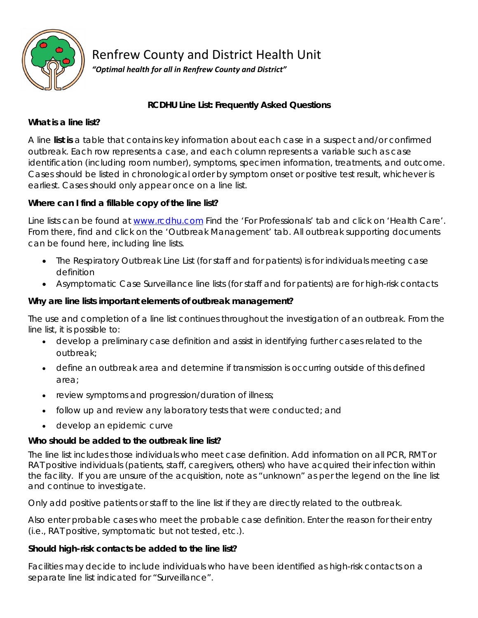

Renfrew County and District Health Unit

*"Optimal health for all in Renfrew County and District"*

## **RCDHU Line List: Frequently Asked Questions**

## **What is a line list?**

A line **list is** a table that contains key information about each case in a suspect and/or confirmed outbreak. Each row represents a case, and each column represents a variable such as case identification (including room number), symptoms, specimen information, treatments, and outcome. Cases should be listed in chronological order by symptom onset or positive test result, whichever is earliest. Cases should only appear once on a line list.

## **Where can I find a fillable copy of the line list?**

Line lists can be found at [www.rcdhu.com](http://www.rcdhu.com/) Find the 'For Professionals' tab and click on 'Health Care'. From there, find and click on the 'Outbreak Management' tab. All outbreak supporting documents can be found here, including line lists.

- The Respiratory Outbreak Line List (for staff and for patients) is for individuals meeting case definition
- Asymptomatic Case Surveillance line lists (for staff and for patients) are for high-risk contacts

### **Why are line lists important elements of outbreak management?**

The use and completion of a line list continues throughout the investigation of an outbreak. From the line list, it is possible to:

- develop a preliminary case definition and assist in identifying further cases related to the outbreak;
- define an outbreak area and determine if transmission is occurring outside of this defined area;
- review symptoms and progression/duration of illness;
- follow up and review any laboratory tests that were conducted; and
- develop an epidemic curve

# **Who should be added to the outbreak line list?**

The line list includes those individuals who meet case definition. Add information on all PCR, RMT or RAT positive individuals (patients, staff, caregivers, others) who have acquired their infection within the facility. If you are unsure of the acquisition, note as "unknown" as per the legend on the line list and continue to investigate.

Only add positive patients or staff to the line list if they are directly related to the outbreak.

Also enter probable cases who meet the probable case definition. Enter the reason for their entry (i.e., RAT positive, symptomatic but not tested, etc.).

## **Should high-risk contacts be added to the line list?**

Facilities may decide to include individuals who have been identified as high-risk contacts on a separate line list indicated for "Surveillance".